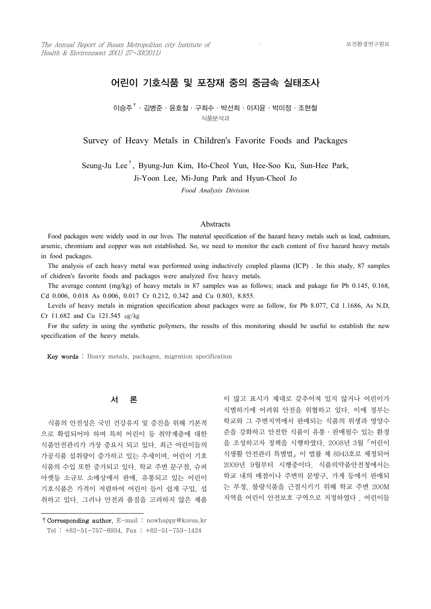# 어린이 기호식품 및 포장재 중의 중금속 실태조사

이승주 $^{\dagger}$ ·김병준·윤호철·구희수·박선희·이지윤·박미정·조현철 식품분석과

Survey of Heavy Metals in Children's Favorite Foods and Packages

Seung-Ju Lee† , Byung-Jun Kim, Ho-Cheol Yun, Hee-Soo Ku, Sun-Hee Park,

Ji-Yoon Lee, Mi-Jung Park and Hyun-Cheol Jo

*Food Analysis Division*

#### **Abstracts**

 Food packages were widely used in our lives. The material specification of the hazard heavy metals such as lead, cadmium, arsenic, chromium and copper was not established. So, we need to monitor the each content of five hazard heavy metals in food packages.

 The analysis of each heavy metal was performed using inductively coupled plasma (ICP) . In this study, 87 samples of chidren's favorite foods and packages were analyzed five heavy metals.

 The average content (mg/kg) of heavy metals in 87 samples was as follows; snack and pakage for Pb 0.145, 0.168, Cd 0.006, 0.018 As 0.006, 0.017 Cr 0.212, 0.342 and Cu 0.803, 8.855.

 Levels of heavy metals in migration specification about packages were as follow, for Pb 8.077, Cd 1.1686, As N.D, Cr 11.682 and Cu 121.545 ㎍/㎏

 For the safety in using the synthetic polymers, the results of this monitoring should be useful to establish the new specification of the heavy metals.

Key words : Heavy metals, packages, migration specification

### 서 론

 식품의 안전성은 국민 건강유지 및 증진을 위해 기본적 으로 확립되어야 하며 특히 어린이 등 취약계층에 대한 식품안전관리가 가장 중요시 되고 있다. 최근 어린이들의 가공식품 섭취량이 증가하고 있는 추세이며, 어린이 기호 식품의 수입 또한 증가되고 있다. 학교 주변 문구점, 슈퍼 마켓등 소규모 소매상에서 판매, 유통되고 있는 어린이 기호식품은 가격이 저렴하여 어린이 들이 쉽게 구입, 섭 취하고 있다. 그러나 안전과 품질을 고려하지 않은 제품

이 많고 표시가 제대로 갖추어져 있지 않거나 어린이가 식별하기에 어려워 안전을 위협하고 있다. 이에 정부는 학교와 그 주변지역에서 판매되는 식품의 위생과 영양수 준을 강화하고 안전한 식품이 유통 ․ 판매될수 있는 환경 을 조성하고자 정책을 시행하였다. 2008년 3월「어린이 식생활 안전관리 특별법」이 법률 제 8943호로 제정되어 2009년 9월부터 시행중이다. 식품의약품안전청에서는 학교 내의 매점이나 주변의 문방구, 가게 등에서 판매되 는 부정. 불량식품을 근절시키기 위해 학교 주변 200M 지역을 어린이 안전보호 구역으로 지정하였다 . 어린이들

<sup>†</sup>Corresponding author. E-mail : nowhappy@korea.kr Tel : +82-51-757-6934, Fax : +82-51-753-1424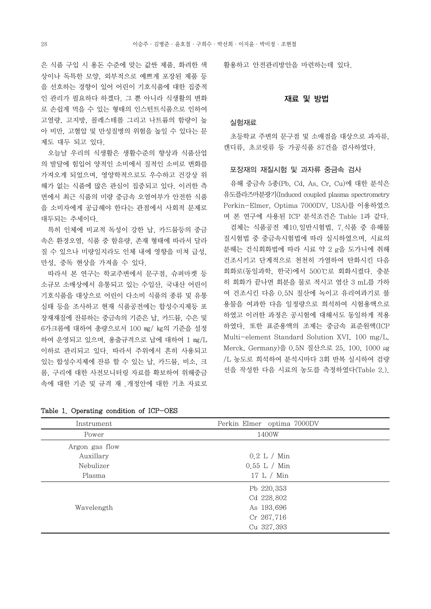은 식품 구입 시 용돈 수준에 맞는 값싼 제품, 화려한 색 상이나 독특한 모양, 외부적으로 예쁘게 포장된 제품 등 을 선호하는 경향이 있어 어린이 기호식품에 대한 집중적 인 관리가 필요하다 하겠다. 그 뿐 아니라 식생활의 변화 로 손쉽게 먹을 수 있는 형태의 인스턴트식품으로 인하여 고열량, 고지방, 콜레스테롤 그리고 나트륨의 함량이 높 아 비만, 고혈압 및 만성질병의 위험을 높일 수 있다는 문 제도 대두 되고 있다.

의 발달에 힘입어 양적인 소비에서 질적인 소비로 변화를 가져오게 되었으며, 영양학적으로도 우수하고 건강상 위 해가 없는 식품에 많은 관심이 집중되고 있다. 이러한 측 면에서 최근 식품의 미량 중금속 오염여부가 안전한 식품 을 소비자에게 공급해야 한다는 관점에서 사회적 문제로 대두되는 추세이다.

 특히 인체에 비교적 독성이 강한 납, 카드뮴등의 중금 속은 환경오염, 식품 중 함유량, 존재 형태에 따라서 달라 질 수 있으나 미량일지라도 인체 내에 영향을 미쳐 급성,<br>만성, 중독 현상을 가져올 수 있다.

 따라서 본 연구는 학교주변에서 문구점, 슈퍼마켓 등 소규모 소매상에서 유통되고 있는 수입산, 국내산 어린이 기호식품을 대상으로 어린이 다소비 식품의 종류 및 유통 실태 등을 조사하고 현재 식품공전에는 합성수지제등 포 장재재질에 잔류하는 중금속의 기준은 납, 카드뮴, 수은 및 6가크롬에 대하여 총량으로서 100 ㎎/ ㎏의 기준을 설정 하여 운영되고 있으며, 용출규격으로 납에 대하여 1 ㎎/L 이하로 관리되고 있다. 따라서 주위에서 흔히 사용되고 있는 합성수지제에 잔류 할 수 있는 납, 카드뮴, 비소, 크 롬, 구리에 대한 사전모니터링 자료를 확보하여 위해중금 속에 대한 기준 및 규격 재 .개정안에 대한 기초 자료로 활용하고 안전관리방안을 마련하는데 있다.

### 재료 및 방법

### 실험재료

— "'' ''— ^ ''<br>오늘날 우리의 식생활은 생활수준의 향상과 식품산업 캔디류, 초코릿류 등 가공식품 87건을 검사하였다. 초등학교 주변의 문구점 및 소매점을 대상으로 과자류.

#### 포장재의 재질시험 및 과자류 중금속 검사

 유해 중금속 5종(Pb, Cd, As, Cr, Cu)에 대한 분석은 유도플라즈마분광기(Induced coupled plasma spectrometry Perkin-Elmer, Optima 7000DV, USA)를 이용하였으 며 본 연구에 사용된 ICP 분석조건은 Table 1과 같다.

 검체는 식품공전 제10.일반시험법, 7.식품 중 유해물 질시험법 중 중금속시험법에 따라 실시하였으며, 시료의 분해는 건식회화법에 따라 시료 약 2 g을 도가니에 취해 건조시키고 단계적으로 천천히 가열하여 탄화시킨 다음 회화로(동일과학, 한국)에서 500℃로 회화시켰다. 충분 히 회화가 끝나면 회분을 물로 적시고 염산 3 mL를 가하 여 건조시킨 다음 0.5N 질산에 녹이고 유리여과기로 불 용물을 여과한 다음 일정량으로 희석하여 시험용액으로 하였고 이러한 과정은 공시험에 대해서도 동일하게 적용 하였다. 또한 표준용액의 조제는 중금속 표준원액(ICP Multi-element Standard Solution XVI, 100 mg/L, Merck, Germany)을 0.5N 질산으로 25, 100, 1000 μg /L 농도로 희석하여 분석시마다 3회 반복 실시하여 검량 선을 작성한 다음 시료의 농도를 측정하였다(Table 2.).

| Instrument     | Perkin Elmer optima 7000DV |
|----------------|----------------------------|
| Power          | 1400W                      |
| Argon gas flow |                            |
| Auxillary      | 0.2 L / Min                |
| Nebulizer      | $0.55$ L / Min             |
| Plasma         | 17 L / Min                 |
|                | Pb 220.353                 |
|                | Cd 228,802                 |
| Wavelength     | As 193.696                 |
|                | Cr 267.716                 |
|                | Cu 327,393                 |

Table 1. Operating condition of ICP-OES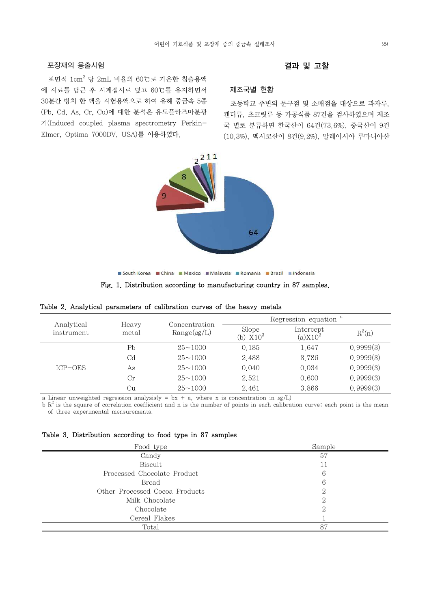### 포장재의 용출시험

표면적  $1 \text{cm}^2$  당  $2 \text{mL}$  비율의 60℃로 가온한 침출용액 에 시료를 담근 후 시계접시로 덮고 60℃를 유지하면서 30분간 방치 한 액을 시험용액으로 하여 유해 중금속 5종 (Pb, Cd, As, Cr, Cu)에 대한 분석은 유도플라즈마분광 기(Induced coupled plasma spectrometry Perkin-Elmer, Optima 7000DV, USA)를 이용하였다.

### 결과 및 고찰

### 제조국별 현황

캐디류, 초코릿류 등 가공식품 87건을 검사하였으며 제조 국 별로 분류하면 한국산이 64건(73.6%), 중국산이 9건 (10.3%), 멕시코산이 8건(9.2%), 말레이시아 루마니아산



South Korea **E China B Mexico B Malaysia B Romania B Brazil B Indonesia** 

Fig. 1. Distribution according to manufacturing country in 87 samples.

|                          |                | Concentration    | Regression equation     |                         |           |  |
|--------------------------|----------------|------------------|-------------------------|-------------------------|-----------|--|
| Analytical<br>instrument | Heavy<br>metal | $Range(\mu g/L)$ | Slope<br>$X10^3$<br>(b) | Intercept<br>$(a)X10^3$ | $R^2(n)$  |  |
|                          | Pb             | $25 \sim 1000$   | 0.185                   | 1.647                   | 0.9999(3) |  |
|                          | Cd             | $25 \sim 1000$   | 2.488                   | 3.786                   | 0.9999(3) |  |
| $ICP$ – $OES$            | As             | $25 \sim 1000$   | 0.040                   | 0.034                   | 0.9999(3) |  |
|                          | Cr             | $25 \sim 1000$   | 2.521                   | 0.600                   | 0.9999(3) |  |
|                          | Сu             | $25 \sim 1000$   | 2.461                   | 3.866                   | 0.9999(3) |  |

|  |  | Table 2. Analytical parameters of calibration curves of the heavy metals |  |  |  |  |  |  |  |  |
|--|--|--------------------------------------------------------------------------|--|--|--|--|--|--|--|--|
|--|--|--------------------------------------------------------------------------|--|--|--|--|--|--|--|--|

a Linear unweighted regression analysis(y = bx + a, where x is concentration in  $\mu g/L$ )

 $b R<sup>2</sup>$  is the square of correlation coefficient and n is the number of points in each calibration curve; each point is the mean of three experimental measurements.

#### Table 3. Distribution according to food type in 87 samples

| Food type                      | Sample |
|--------------------------------|--------|
| Candy                          | 57     |
| Biscuit                        | 11     |
| Processed Chocolate Product    | 6      |
| Bread                          | 6      |
| Other Processed Cocoa Products | 2      |
| Milk Chocolate                 | റ      |
| Chocolate                      | 2      |
| Cereal Flakes                  |        |
| Total                          | 87     |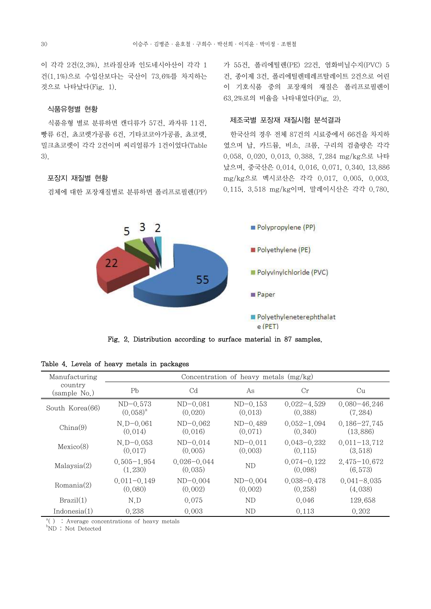이 각각 2건(2.3%), 브라질산과 인도네시아산이 각각 1 건(1.1%)으로 수입산보다는 국산이 73.6%를 차지하는 것으로 나타났다(Fig. 1).

# 식품유형별 현황

식품유형 별로 분류하면 캔디류가 57건, 과자류 11건,<br>빵류 6건, 쵸코렛가공품 6건, 기타코코아가공품, 쵸코렛,<br>밀크쵸코렛이 각각 2건이며 씨리얼류가 1건이었다(Table 3).

# 포장지 재질별 현황

검체에 대한 포장재질별로 분류하면 폴리프로필렌(PP)

가 55건, 폴리에틸렌(PE) 22건, 염화비닐수지(PVC) 5 건, 종이제 3건, 폴리에틸렌테레프탈레이트 2건으로 어린 이 기호식품 중의 포장재의 재질은 폴리프로필렌이 63.2%로의 비율을 나타내었다(Fig. 2).

## 제조국별 포장재 재질시험 분석결과

 한국산의 경우 전체 87건의 시료중에서 66건을 차지하 였으며 납, 카드뮴, 비소, 크롬, 구리의 검출량은 각각 0.058, 0.020, 0.013, 0.388, 7.284 mg/kg으로 나타 났으며, 중국산은 0.014, 0.016, 0.071, 0.340, 13.886 mg/kg으로 멕시코산은 각각 0.017, 0.005, 0.003, 0.115, 3.518 mg/kg이며, 말레이시산은 각각 0.780,



Fig. 2. Distribution according to surface material in 87 samples.

| Manufacturing           |                             |                            | Concentration of heavy metals $(mg/kg)$ |                             |                              |
|-------------------------|-----------------------------|----------------------------|-----------------------------------------|-----------------------------|------------------------------|
| country<br>(sample No.) | Pb                          | C <sub>d</sub>             | As                                      | Cr                          | Cu                           |
| South Korea(66)         | $ND-0.573$<br>$(0.058)^{a}$ | $ND-0.081$<br>(0.020)      | $ND-0.153$<br>(0.013)                   | $0.022 - 4.529$<br>(0, 388) | $0.080 - 46.246$<br>(7, 284) |
| China(9)                | $N.D-0.061$<br>(0.014)      | $ND-0.062$<br>(0.016)      | $ND-0.489$<br>(0.071)                   | $0.052 - 1.094$<br>(0.340)  | $0.186 - 27.745$<br>(13,886) |
| Mexico(8)               | $N_{.}D=0.053$<br>(0.017)   | $ND-0.014$<br>(0.005)      | $ND-0.011$<br>(0.003)                   | $0.043 - 0.232$<br>(0.115)  | $0.011 - 13.712$<br>(3.518)  |
| Malaysia(2)             | $0.505 - 1.954$<br>(1, 230) | $0.026 - 0.044$<br>(0.035) | ND                                      | $0.074 - 0.122$<br>(0.098)  | $2.475 - 10.672$<br>(6, 573) |
| Romania(2)              | $0.011 - 0.149$<br>(0.080)  | $ND-0.004$<br>(0.002)      | $ND-0.004$<br>(0.002)                   | $0.038 - 0.478$<br>(0.258)  | $0.041 - 8.035$<br>(4.038)   |
| Brazil(1)               | N.D                         | 0.075                      | ND                                      | 0.046                       | 129.658                      |
| Indonesia(1)            | 0.238                       | 0.003                      | ND                                      | 0.113                       | 0.202                        |

Table 4. Levels of heavy metals in packages

<sup>a</sup>() : Average concentrations of heavy metals

 $b_{\text{ND}}$ : Not Detected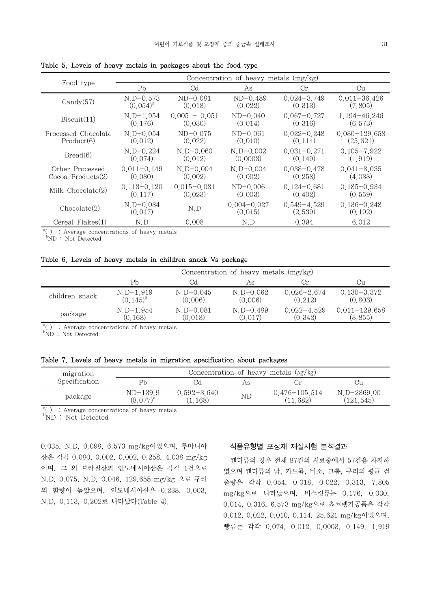|                      |                           |                 | Concentration of heavy metals (mg/kg) |                            |                            |
|----------------------|---------------------------|-----------------|---------------------------------------|----------------------------|----------------------------|
| Food type            | Pb                        | C <sub>d</sub>  | As                                    | Cr                         | Cu                         |
| Candy(57)            | $N_{.}D=0.573$            | $ND-0.081$      | $ND-0.489$                            | $0.024 - 3.749$            | $0.011 - 36.426$           |
|                      | $(0.054)^{a}$             | (0.018)         | (0.022)                               | (0.313)                    | (7,805)                    |
| Biscuit(11)          | $N_{\cdot}D-1.954$        | $0.005 - 0.051$ | $ND-0.040$                            | $0.067 - 0.727$            | $1.194 - 46.246$           |
|                      | (0.176)                   | (0.030)         | (0.014)                               | (0.316)                    | (6, 573)                   |
| Processed Chocolate  | $N_{\cdot}D=0.054$        | $ND-0.075$      | $ND-0.061$                            | $0.022 - 0.248$            | $0.080 - 129.658$          |
| Product(6)           | (0.012)                   | (0.022)         | (0.010)                               | (0.114)                    | (25, 621)                  |
| Bread(6)             | $N_{.}D=0.224$            | $N_{.}D=0.060$  | $N_{.}D=0.002$                        | $0.031 - 0.271$            | $0.105 - 7.922$            |
|                      | (0.074)                   | (0.012)         | (0.0003)                              | (0.149)                    | (1, 919)                   |
| Other Processed      | $0.011 - 0.149$           | $N.D-0.004$     | $N.D-0.004$                           | $0.038 - 0.478$            | $0.041 - 8.035$            |
| Cocoa Products $(2)$ | (0.080)                   | (0.002)         | (0.002)                               | (0.258)                    | (4.038)                    |
| Milk $Chocolate(2)$  | $0.113 - 0.120$           | $0.015 - 0.031$ | $ND-0.006$                            | $0.124 - 0.681$            | $0.185 - 0.934$            |
|                      | (0.117)                   | (0.023)         | (0.003)                               | (0, 402)                   | (0.559)                    |
| Chocolate(2)         | $N_{.}D=0.034$<br>(0.017) | N.D             | $0.004 - 0.027$<br>(0.015)            | $0.549 - 4.529$<br>(2,539) | $0.136 - 0.248$<br>(0.192) |
| Cereal Flakes(1)     | N.D                       | 0.008           | N.D                                   | 0.394                      | 6.012                      |

Table 5. Levels of heavy metals in packages about the food type

<sup>a</sup>() : Average concentrations of heavy metals

 $bND$ : Not Detected

### Table 6. Levels of heavy metals in children snack Vs package

|                | Concentration of heavy metals $(mg/kg)$ |                |                |                 |                   |  |  |
|----------------|-----------------------------------------|----------------|----------------|-----------------|-------------------|--|--|
|                | Ph                                      | Сd             | Αs             | . 'r            | . น               |  |  |
| children snack | $N_{.}D-1.919$                          | $N_{.}D=0.045$ | $N_{.}D=0.062$ | $0.026 - 2.674$ | $0.130 - 3.372$   |  |  |
|                | $(0.145)^{a}$                           | (0.006)        | (0.006)        | (0, 212)        | (0, 803)          |  |  |
| package        | $N_{.}D-1.954$                          | $N_{.}D=0.081$ | $N_{.}D=0.489$ | $0.022 - 4.529$ | $0.011 - 129.658$ |  |  |
|                | (0.168)                                 | (0.018)        | (0.017)        | (0.342)         | (8, 855)          |  |  |

<sup>a</sup>() : Average concentrations of heavy metals

 $b$ ND : Not Detected

Table 7. Levels of heavy metals in migration specification about packages

| migration     |                             |                            |    | Concentration of heavy metals $(\mu g / kg)$ |                           |
|---------------|-----------------------------|----------------------------|----|----------------------------------------------|---------------------------|
| Specification | Pł                          |                            | As | ∪r                                           |                           |
| package       | $ND-139.9$<br>$(8.077)^{a}$ | $0.592 - 3.640$<br>(1.168) | ND | $0.476 - 105.514$<br>(11, 682)               | N.D-2869.00<br>(121, 545) |

<sup>a</sup>() : Average concentrations of heavy metals bND : Not Detected

0.035, N.D, 0.098, 6.573 mg/kg이었으며, 루마니아 산은 각각 0.080, 0.002, 0.002, 0.258, 4.038 mg/kg 이며, 그 외 브라질산과 인도네시아산은 각각 1건으로 N.D, 0.075, N.D, 0.046, 129.658 mg/kg 으로 구리 의 함량이 높았으며, 인도네시아산은 0.238, 0.003, N.D, 0.113, 0.202로 나타났다(Table 4).

### 식품유형별 포장재 재질시험 분석결과

 캔디류의 경우 전체 87건의 시료중에서 57건을 차지하 였으며 캔디류의 납, 카드뮴, 비소, 크롬, 구리의 평균 검 출량은 각각 0.054, 0.018, 0.022, 0.313, 7.805 mg/kg으로 나타났으며, 비스킷류는 0.176, 0.030, 0.014, 0.316, 6.573 mg/kg으로 쵸코렛가공품은 각각 0.012, 0.022, 0.010, 0.114, 25.621 mg/kg이었으며, 빵류는 각각 0.074, 0.012, 0.0003, 0.149, 1.919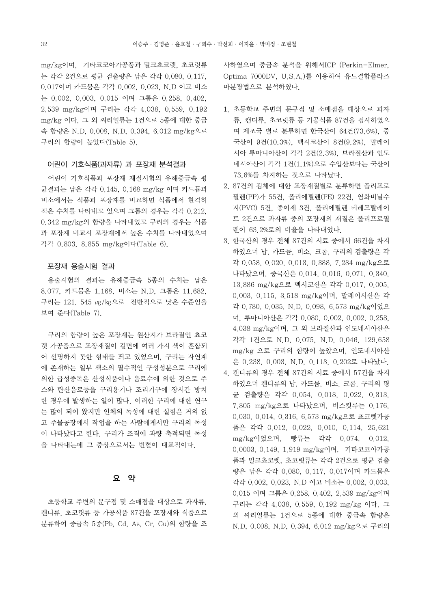mg/kg이며, 기타코코아가공품과 밀크쵸코렛, 초코릿류 는 각각 2건으로 평균 검출량은 납은 각각 0.080, 0.117, 0.017이며 카드뮴은 각각 0.002, 0.023, N.D 이고 비소 는 0.002, 0.003, 0.015 이며 크롬은 0.258, 0.402, 2.539 mg/kg이며 구리는 각각 4.038, 0.559, 0.192 mg/kg 이다. 그 외 씨리얼류는 1건으로 5종에 대한 중금 속 함량은 N.D, 0.008, N.D, 0.394, 6.012 mg/kg으로 구리의 함량이 높았다(Table 5).

#### 어린이 기호식품(과자류) 과 포장재 분석결과

 어린이 기호식품과 포장재 재질시험의 유해중금속 평 균결과는 납은 각각 0.145, 0.168 mg/kg 이며 카드뮴과 비소에서는 식품과 포장재를 비교하면 식품에서 현격히 적은 수치를 나타내고 있으며 크롬의 경우는 각각 0.212, 0.342 mg/kg의 함량을 나타내었고 구리의 경우는 식품 과 포장재 비교시 포장재에서 높은 수치를 나타내었으며 각각 0.803, 8.855 mg/kg이다(Table 6).

#### 포장재 용출시험 결과

 용출시험의 결과는 유해중금속 5종의 수치는 납은 8.077, 카드뮴은 1.168, 비소는 N.D, 크롬은 11.682, 구리는 121. 545 ㎍/㎏으로 전반적으로 낮은 수준임을 보여 준다(Table 7).

 구리의 함량이 높은 포장재는 원산지가 브라질인 쵸코 렛 가공품으로 포장재질이 겉면에 여러 가지 색이 혼합되 어 선명하지 못한 형태를 띄고 있었으며, 구리는 자연계 에 존재하는 일부 색소의 필수적인 구성성분으로 구리에 의한 급성중독은 산성식품이나 음료수에 의한 것으로 주 스와 탄산음료등을 구리용기나 조리기구에 장시간 방치 한 경우에 발생하는 일이 많다. 이러한 구리에 대한 연구 는 많이 되어 왔지만 인체의 독성에 대한 실험은 거의 없 고 주물공장에서 작업을 하는 사람에게서만 구리의 독성 이 나타났다고 한다. 구리가 조직에 과량 축적되면 독성 을 나타내는데 그 증상으로서는 빈혈이 대표적이다.

# 요 약

초등학교 주변의 문구점 및 소매점을 대상으로 과자류,<br>캔디류, 초코릿류 등 가공식품 87건을 포장재와 식품으로 분류하여 중금속 5종(Pb, Cd, As, Cr, Cu)의 함량을 조 사하였으며 중금속 분석을 위해서ICP (Perkin-Elmer, Optima 7000DV, U.S.A.)를 이용하여 유도결합플라즈 마분광법으로 분석하였다.

- 1. 초등학교 주변의 문구점 및 소매점을 대상으로 과자 류, 캔디류, 초코릿류 등 가공식품 87건을 검사하였으 며 제조국 별로 분류하면 한국산이 64건(73.6%), 중 국산이 9건(10.3%), 멕시코산이 8건(9.2%), 말레이 시아 루마니아산이 각각 2건(2.3%), 브라질산과 인도 네시아산이 각각 1건(1.1%)으로 수입산보다는 국산이 73.6%를 차지하는 것으로 나타났다.
- 2. 87건의 검체에 대한 포장재질별로 분류하면 폴리프로 필렌(PP)가 55건, 폴리에틸렌(PE) 22건, 염화비닐수 지(PVC) 5건, 종이제 3건, 폴리에틸렌 테레프탈레이 트 2건으로 과자류 중의 포장재의 재질은 폴리프로필 렌이 63.2%로의 비율을 나타내었다.
- 3. 한국산의 경우 전체 87건의 시료 중에서 66건을 차지 하였으며 납, 카드뮴, 비소, 크롬, 구리의 검출량은 각 각 0.058, 0.020, 0.013, 0.388, 7.284 mg/kg으로 나타났으며, 중국산은 0.014, 0.016, 0.071, 0.340, 13.886 mg/kg으로 멕시코산은 각각 0.017, 0.005, 0.003, 0.115, 3.518 mg/kg이며, 말레이시산은 각 각 0.780, 0.035, N.D, 0.098, 6.573 mg/kg이었으 며, 루마니아산은 각각 0.080, 0.002, 0.002, 0.258, 4.038 mg/kg이며, 그 외 브라질산과 인도네시아산은 각각 1건으로 N.D, 0.075, N.D, 0.046, 129.658 mg/kg 으로 구리의 함량이 높았으며, 인도네시아산 은 0.238, 0.003, N.D, 0.113, 0.202로 나타났다.
- 4. 캔디류의 경우 전체 87건의 시료 중에서 57건을 차지 하였으며 캔디류의 납, 카드뮴, 비소, 크롬, 구리의 평 균 검출량은 각각 0.054, 0.018, 0.022, 0.313, 7.805 mg/kg으로 나타났으며, 비스킷류는 0.176, 0.030, 0.014, 0.316, 6.573 mg/kg으로 쵸코렛가공 품은 각각 0.012, 0.022, 0.010, 0.114, 25.621 mg/kg이었으며, 빵류는 각각 0.074, 0.012, 0.0003, 0.149, 1.919 mg/kg이며, 기타코코아가공 품과 밀크쵸코렛, 초코릿류는 각각 2건으로 평균 검출 량은 납은 각각 0.080, 0.117, 0.017이며 카드뮴은 각각 0.002, 0.023, N.D 이고 비소는 0.002, 0.003, 0.015 이며 크롬은 0.258, 0.402, 2.539 mg/kg이며 구리는 각각 4.038, 0.559, 0.192 mg/kg 이다. 그 외 씨리얼류는 1건으로 5종에 대한 중금속 함량은 N.D, 0.008, N.D, 0.394, 6.012 mg/kg으로 구리의